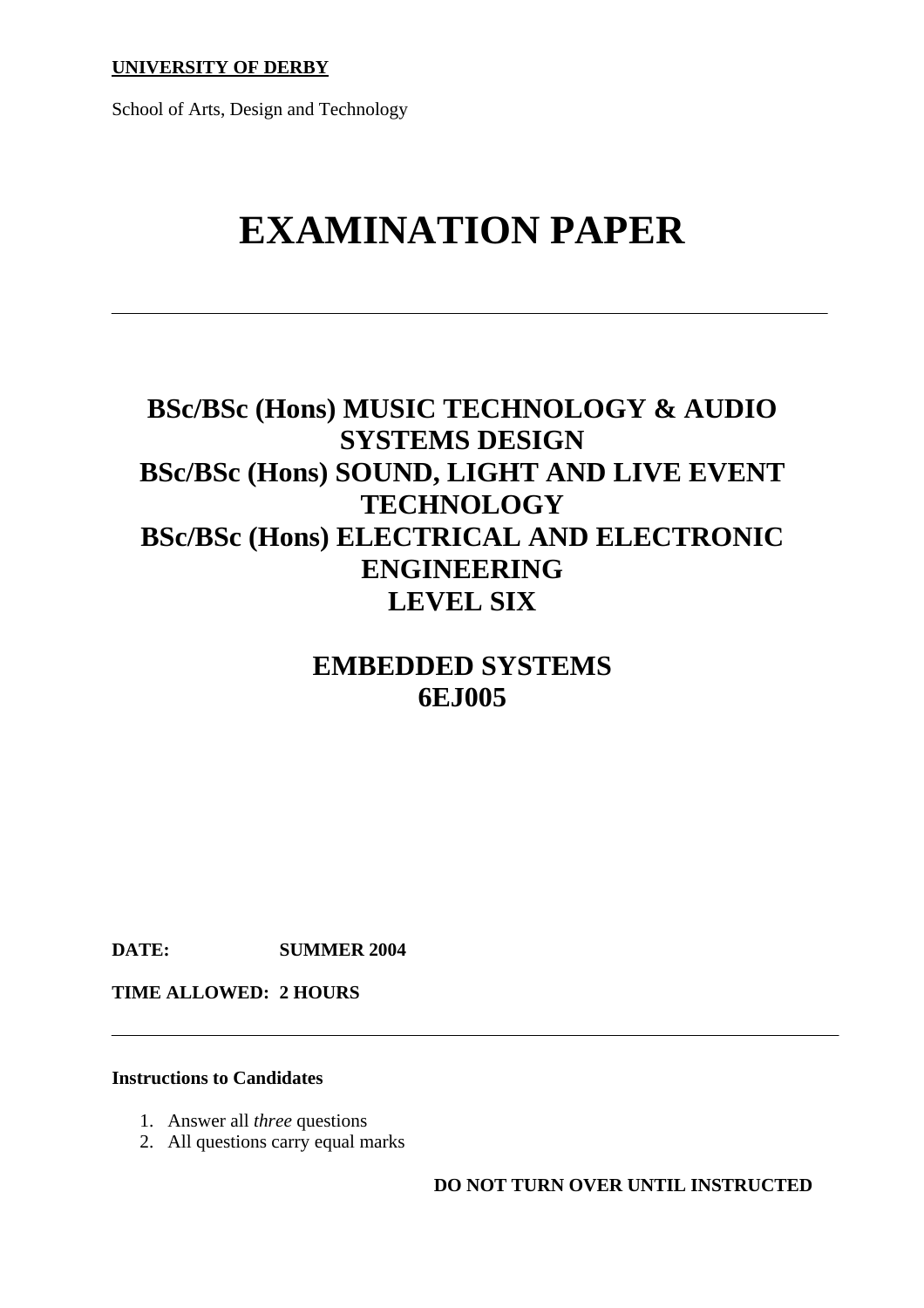School of Arts, Design and Technology

# **EXAMINATION PAPER**

# **BSc/BSc (Hons) MUSIC TECHNOLOGY & AUDIO SYSTEMS DESIGN BSc/BSc (Hons) SOUND, LIGHT AND LIVE EVENT TECHNOLOGY BSc/BSc (Hons) ELECTRICAL AND ELECTRONIC ENGINEERING LEVEL SIX**

## **EMBEDDED SYSTEMS 6EJ005**

**DATE: SUMMER 2004** 

**TIME ALLOWED: 2 HOURS** 

#### **Instructions to Candidates**

- 1. Answer all *three* questions
- 2. All questions carry equal marks

**DO NOT TURN OVER UNTIL INSTRUCTED**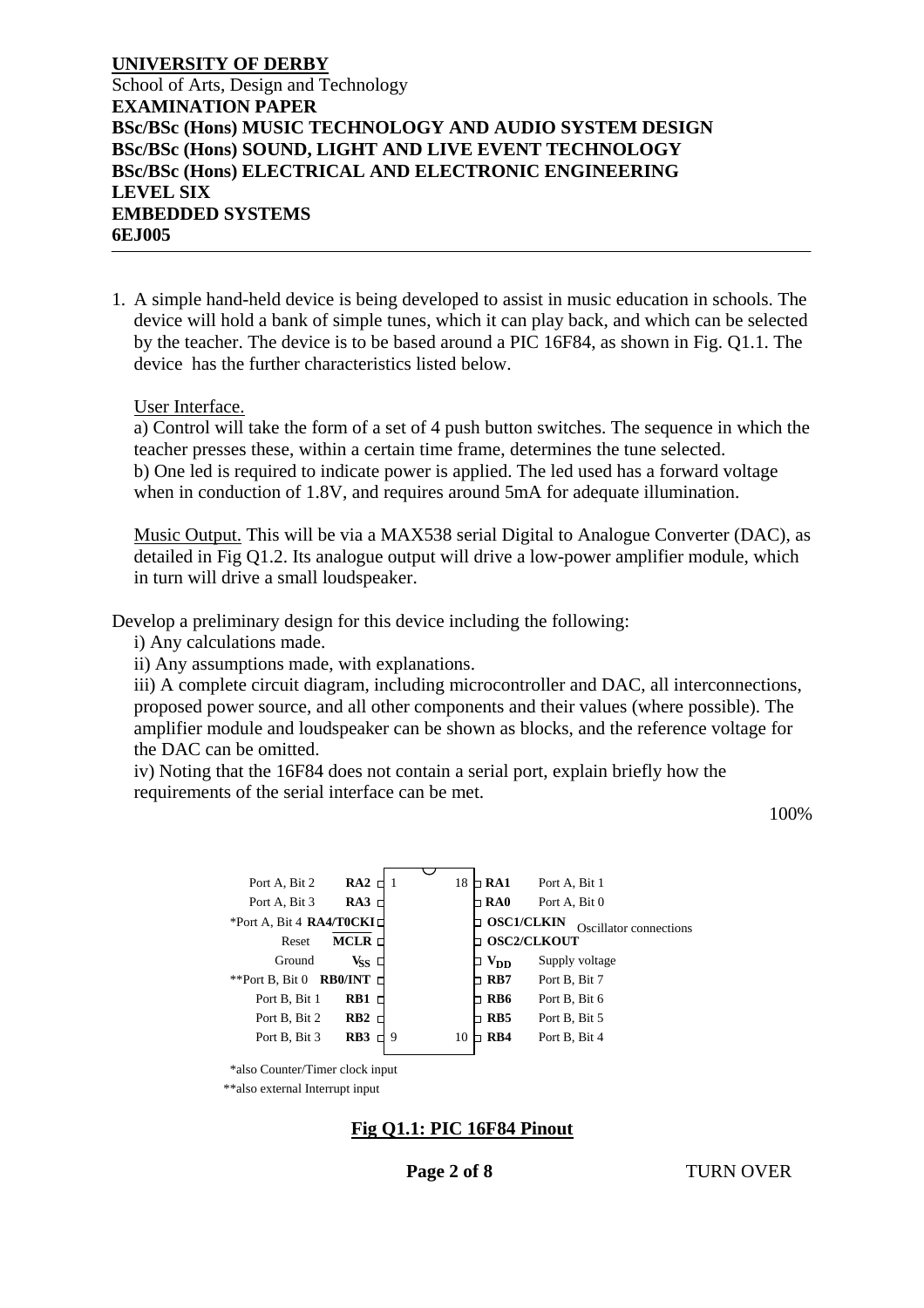#### **UNIVERSITY OF DERBY** School of Arts, Design and Technology **EXAMINATION PAPER BSc/BSc (Hons) MUSIC TECHNOLOGY AND AUDIO SYSTEM DESIGN BSc/BSc (Hons) SOUND, LIGHT AND LIVE EVENT TECHNOLOGY BSc/BSc (Hons) ELECTRICAL AND ELECTRONIC ENGINEERING LEVEL SIX EMBEDDED SYSTEMS 6EJ005**

1. A simple hand-held device is being developed to assist in music education in schools. The device will hold a bank of simple tunes, which it can play back, and which can be selected by the teacher. The device is to be based around a PIC 16F84, as shown in Fig. Q1.1. The device has the further characteristics listed below.

#### User Interface.

a) Control will take the form of a set of 4 push button switches. The sequence in which the teacher presses these, within a certain time frame, determines the tune selected. b) One led is required to indicate power is applied. The led used has a forward voltage when in conduction of 1.8V, and requires around 5mA for adequate illumination.

Music Output. This will be via a MAX538 serial Digital to Analogue Converter (DAC), as detailed in Fig Q1.2. Its analogue output will drive a low-power amplifier module, which in turn will drive a small loudspeaker.

Develop a preliminary design for this device including the following:

i) Any calculations made.

ii) Any assumptions made, with explanations.

iii) A complete circuit diagram, including microcontroller and DAC, all interconnections, proposed power source, and all other components and their values (where possible). The amplifier module and loudspeaker can be shown as blocks, and the reference voltage for the DAC can be omitted.

iv) Noting that the 16F84 does not contain a serial port, explain briefly how the requirements of the serial interface can be met.

100%



\*also Counter/Timer clock input

\*\*also external Interrupt input

#### **Fig Q1.1: PIC 16F84 Pinout**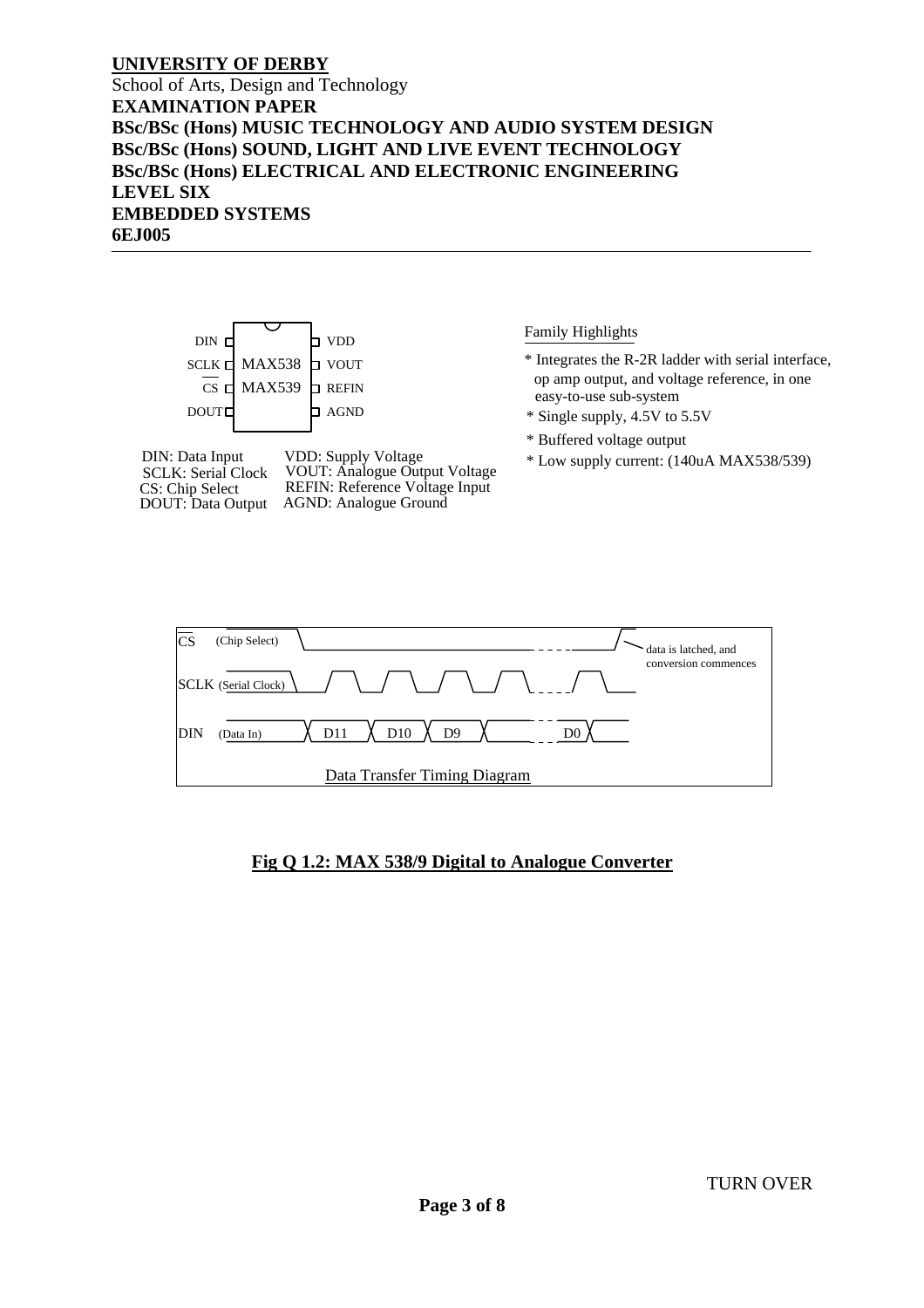School of Arts, Design and Technology **EXAMINATION PAPER BSc/BSc (Hons) MUSIC TECHNOLOGY AND AUDIO SYSTEM DESIGN BSc/BSc (Hons) SOUND, LIGHT AND LIVE EVENT TECHNOLOGY BSc/BSc (Hons) ELECTRICAL AND ELECTRONIC ENGINEERING LEVEL SIX EMBEDDED SYSTEMS 6EJ005** 





#### **Fig Q 1.2: MAX 538/9 Digital to Analogue Converter**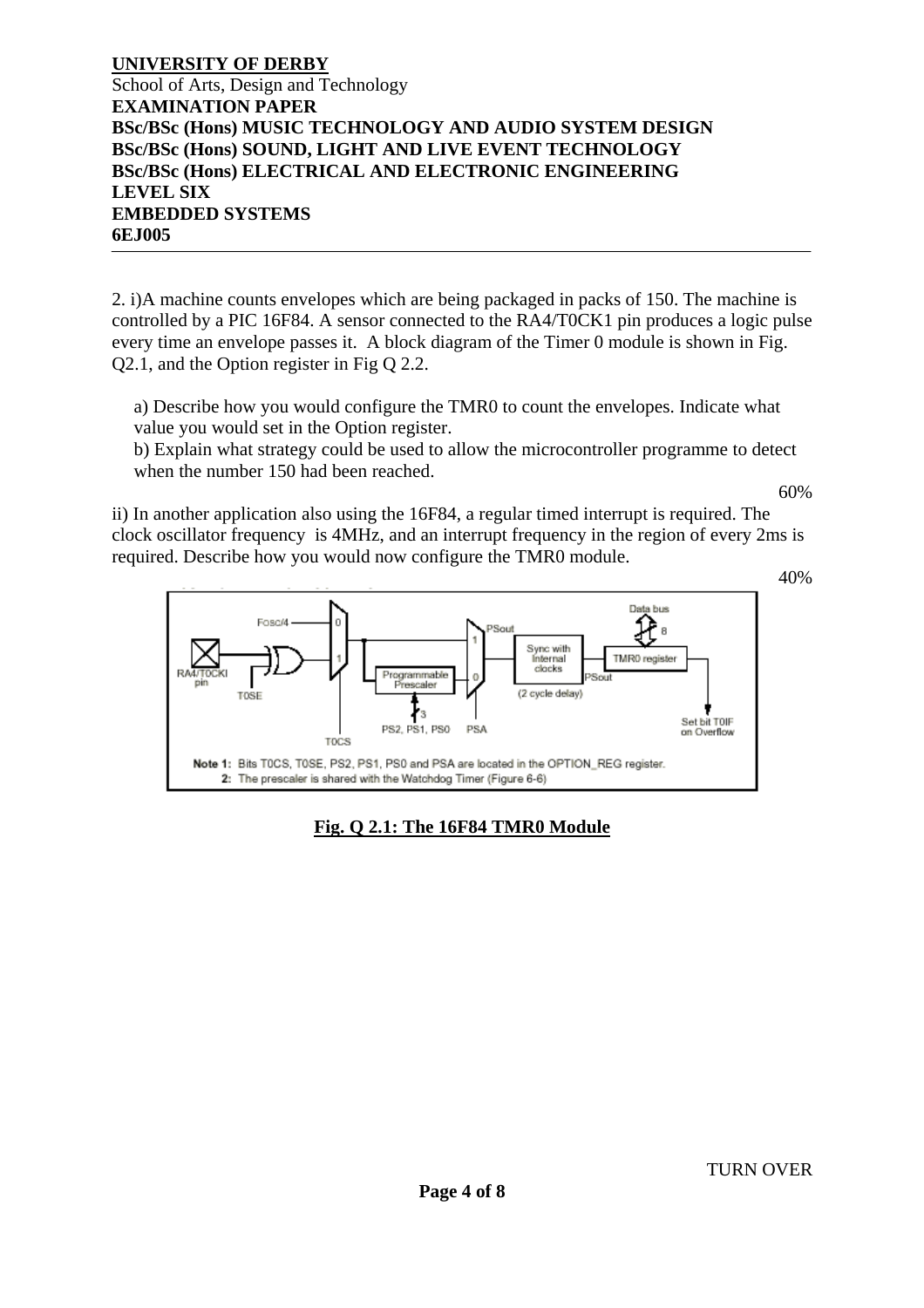#### **UNIVERSITY OF DERBY** School of Arts, Design and Technology **EXAMINATION PAPER BSc/BSc (Hons) MUSIC TECHNOLOGY AND AUDIO SYSTEM DESIGN BSc/BSc (Hons) SOUND, LIGHT AND LIVE EVENT TECHNOLOGY BSc/BSc (Hons) ELECTRICAL AND ELECTRONIC ENGINEERING LEVEL SIX EMBEDDED SYSTEMS 6EJ005**

2. i)A machine counts envelopes which are being packaged in packs of 150. The machine is controlled by a PIC 16F84. A sensor connected to the RA4/T0CK1 pin produces a logic pulse every time an envelope passes it. A block diagram of the Timer 0 module is shown in Fig. Q2.1, and the Option register in Fig Q 2.2.

a) Describe how you would configure the TMR0 to count the envelopes. Indicate what value you would set in the Option register.

b) Explain what strategy could be used to allow the microcontroller programme to detect when the number 150 had been reached.

60%

ii) In another application also using the 16F84, a regular timed interrupt is required. The clock oscillator frequency is 4MHz, and an interrupt frequency in the region of every 2ms is required. Describe how you would now configure the TMR0 module.



### **Fig. Q 2.1: The 16F84 TMR0 Module**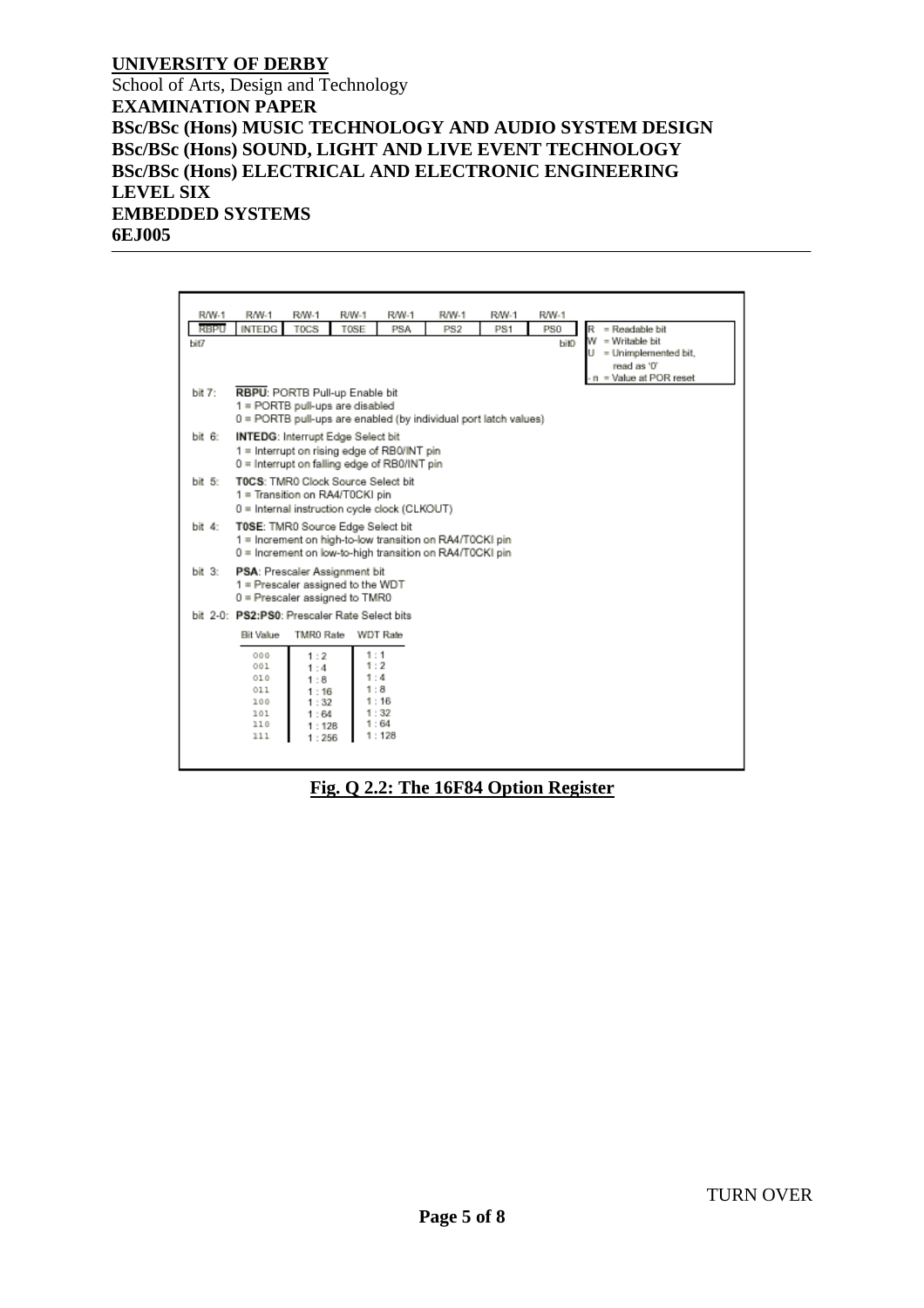School of Arts, Design and Technology **EXAMINATION PAPER BSc/BSc (Hons) MUSIC TECHNOLOGY AND AUDIO SYSTEM DESIGN BSc/BSc (Hons) SOUND, LIGHT AND LIVE EVENT TECHNOLOGY BSc/BSc (Hons) ELECTRICAL AND ELECTRONIC ENGINEERING LEVEL SIX EMBEDDED SYSTEMS 6EJ005** 

R/W-1 R/W-1 R/W-1 R/W-1 **R/W-1** RW-1 R/W-1 **R/W-1** RBPU INTEDG TOCS PS0 T0SE **PSA PS2**  $PS1$ R = Readable bit w = Writable bit hát7 bit0 = Unimplemented bit, Ú read as '0' = Value at POR reset RBPU: PORTB Pull-up Enable bit bit 7:  $1 = \text{PORTB pull-ups are disabled}$  $0 = \text{PORTB}\text{ pull-ups are enabled (by individual port latch values)}$ bit 6: INTEDG: Interrupt Edge Select bit 1 = Interrupt on rising edge of RB0/INT pin 0 = Interrupt on falling edge of RB0/INT pin bit 5: TOCS: TMR0 Clock Source Select bit 1 = Transition on RA4/T0CKI pin 0 = Internal instruction cycle clock (CLKOUT) bit 4: TOSE: TMR0 Source Edge Select bit 1 = Increment on high-to-low transition on RA4/T0CKI pin 0 = Increment on low-to-high transition on RA4/T0CKI pin bit 3: PSA: Prescaler Assignment bit 1 = Prescaler assigned to the WDT  $0$  = Prescaler assigned to TMR0 bit 2-0: PS2:PS0: Prescaler Rate Select bits Bit Value TMR0 Rate WDT Rate  $000$  $1:2$  $: 1$ 001  $1:2$  $1:4$  $1:4$  $010$  $1:8$  $1:8$  $011$  $1:16$ 100  $1:32$  $1:16$ 1.01  $1:64$  $1:32$  $1:64$  $110$ 1 128 111  $1:128$  $1:256$ 

**Fig. Q 2.2: The 16F84 Option Register**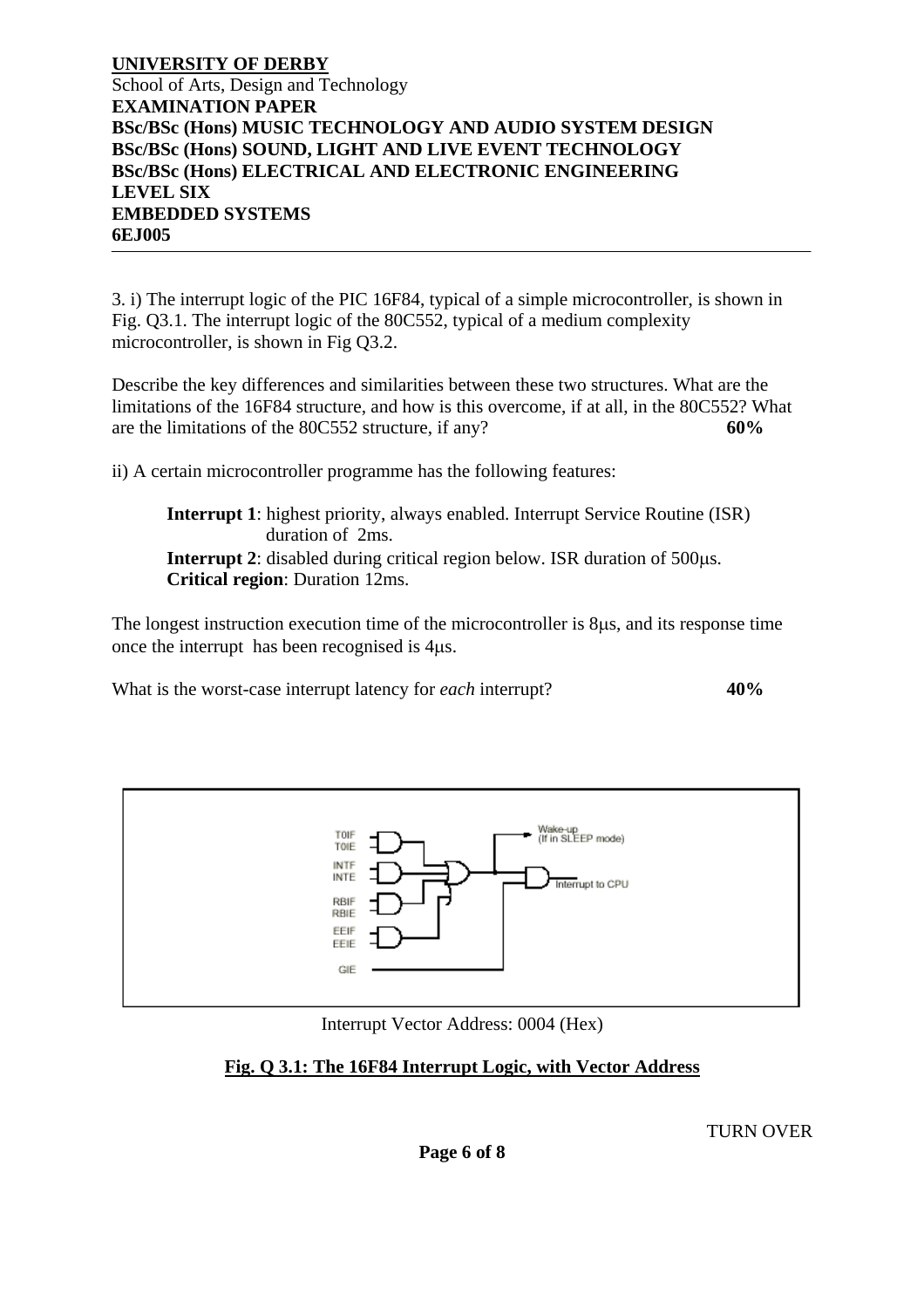#### **UNIVERSITY OF DERBY** School of Arts, Design and Technology **EXAMINATION PAPER BSc/BSc (Hons) MUSIC TECHNOLOGY AND AUDIO SYSTEM DESIGN BSc/BSc (Hons) SOUND, LIGHT AND LIVE EVENT TECHNOLOGY BSc/BSc (Hons) ELECTRICAL AND ELECTRONIC ENGINEERING LEVEL SIX EMBEDDED SYSTEMS 6EJ005**

3. i) The interrupt logic of the PIC 16F84, typical of a simple microcontroller, is shown in Fig. Q3.1. The interrupt logic of the 80C552, typical of a medium complexity microcontroller, is shown in Fig Q3.2.

Describe the key differences and similarities between these two structures. What are the limitations of the 16F84 structure, and how is this overcome, if at all, in the 80C552? What are the limitations of the 80C552 structure, if any? **60%** 

ii) A certain microcontroller programme has the following features:

**Interrupt 1**: highest priority, always enabled. Interrupt Service Routine (ISR) duration of 2ms. **Interrupt 2**: disabled during critical region below. ISR duration of 500 us. **Critical region**: Duration 12ms.

The longest instruction execution time of the microcontroller is 8µs, and its response time once the interrupt has been recognised is 4µs.

What is the worst-case interrupt latency for *each* interrupt? **40%** 



Interrupt Vector Address: 0004 (Hex)

### **Fig. Q 3.1: The 16F84 Interrupt Logic, with Vector Address**

TURN OVER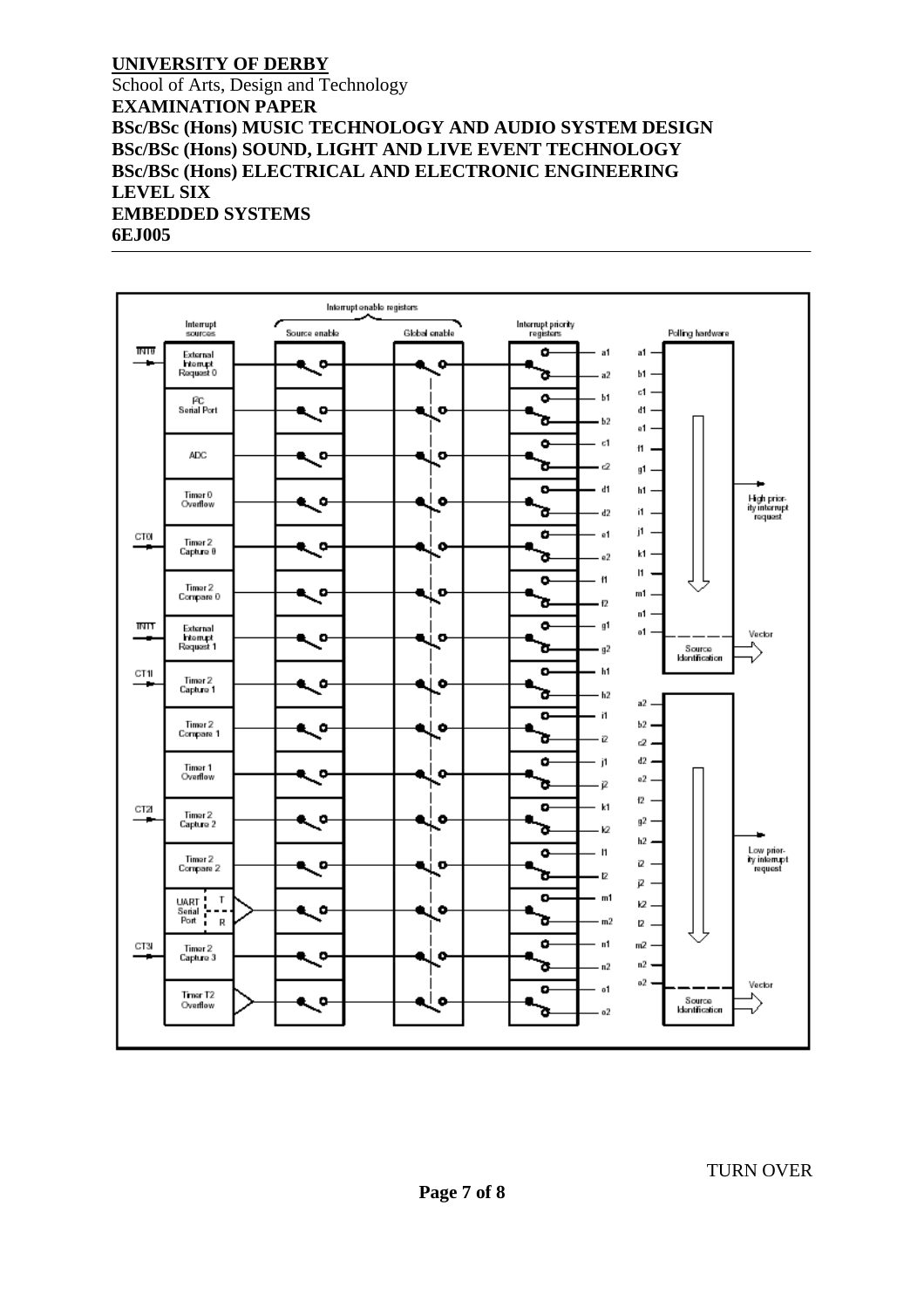School of Arts, Design and Technology **EXAMINATION PAPER BSc/BSc (Hons) MUSIC TECHNOLOGY AND AUDIO SYSTEM DESIGN BSc/BSc (Hons) SOUND, LIGHT AND LIVE EVENT TECHNOLOGY BSc/BSc (Hons) ELECTRICAL AND ELECTRONIC ENGINEERING LEVEL SIX EMBEDDED SYSTEMS 6EJ005**